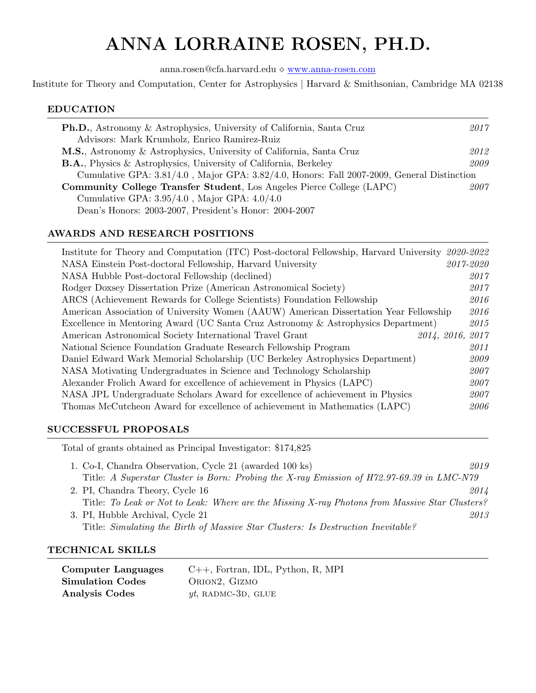# ANNA LORRAINE ROSEN, PH.D.

anna.rosen@cfa.harvard.edu [www.anna-rosen.com](https://anna-rosen.com)

Institute for Theory and Computation, Center for Astrophysics | Harvard & Smithsonian, Cambridge MA 02138

#### EDUCATION

| <b>Ph.D.</b> , Astronomy & Astrophysics, University of California, Santa Cruz              | 2017 |  |
|--------------------------------------------------------------------------------------------|------|--|
| Advisors: Mark Krumholz, Enrico Ramirez-Ruiz                                               |      |  |
| M.S., Astronomy & Astrophysics, University of California, Santa Cruz                       | 2012 |  |
| <b>B.A.</b> , Physics & Astrophysics, University of California, Berkeley                   | 2009 |  |
| Cumulative GPA: 3.81/4.0, Major GPA: 3.82/4.0, Honors: Fall 2007-2009, General Distinction |      |  |
| <b>Community College Transfer Student, Los Angeles Pierce College (LAPC)</b><br>2007       |      |  |
| Cumulative GPA: $3.95/4.0$ , Major GPA: $4.0/4.0$                                          |      |  |
| Dean's Honors: 2003-2007, President's Honor: 2004-2007                                     |      |  |

## AWARDS AND RESEARCH POSITIONS

| Institute for Theory and Computation (ITC) Post-doctoral Fellowship, Harvard University 2020-2022 |           |
|---------------------------------------------------------------------------------------------------|-----------|
| NASA Einstein Post-doctoral Fellowship, Harvard University                                        | 2017-2020 |
| NASA Hubble Post-doctoral Fellowship (declined)                                                   | 2017      |
| Rodger Doxsey Dissertation Prize (American Astronomical Society)                                  | 2017      |
| ARCS (Achievement Rewards for College Scientists) Foundation Fellowship                           | 2016      |
| American Association of University Women (AAUW) American Dissertation Year Fellowship             | 2016      |
| Excellence in Mentoring Award (UC Santa Cruz Astronomy & Astrophysics Department)                 | 2015      |
| 2014, 2016, 2017<br>American Astronomical Society International Travel Grant                      |           |
| National Science Foundation Graduate Research Fellowship Program                                  | 2011      |
| Daniel Edward Wark Memorial Scholarship (UC Berkeley Astrophysics Department)                     | 2009      |
| NASA Motivating Undergraduates in Science and Technology Scholarship                              | 2007      |
| Alexander Frolich Award for excellence of achievement in Physics (LAPC)                           | 2007      |
| NASA JPL Undergraduate Scholars Award for excellence of achievement in Physics                    | 2007      |
| Thomas McCutcheon Award for excellence of achievement in Mathematics (LAPC)                       | 2006      |

## SUCCESSFUL PROPOSALS

Total of grants obtained as Principal Investigator: \$174,825

| 1. Co-I, Chandra Observation, Cycle 21 (awarded 100 ks)                                        | 2019 |
|------------------------------------------------------------------------------------------------|------|
| Title: A Superstar Cluster is Born: Probing the X-ray Emission of H72.97-69.39 in LMC-N79      |      |
| 2. PI, Chandra Theory, Cycle 16                                                                | 2014 |
| Title: To Leak or Not to Leak: Where are the Missing X-ray Photons from Massive Star Clusters? |      |
| 3. PI, Hubble Archival, Cycle 21                                                               | 2013 |
| Title: Simulating the Birth of Massive Star Clusters: Is Destruction Inevitable?               |      |

## TECHNICAL SKILLS

| <b>Computer Languages</b> | $C_{++}$ , Fortran, IDL, Python, R, MPI |
|---------------------------|-----------------------------------------|
| <b>Simulation Codes</b>   | ORION <sub>2</sub> , GIZMO              |
| <b>Analysis Codes</b>     | $yt$ , RADMC-3D, GLUE                   |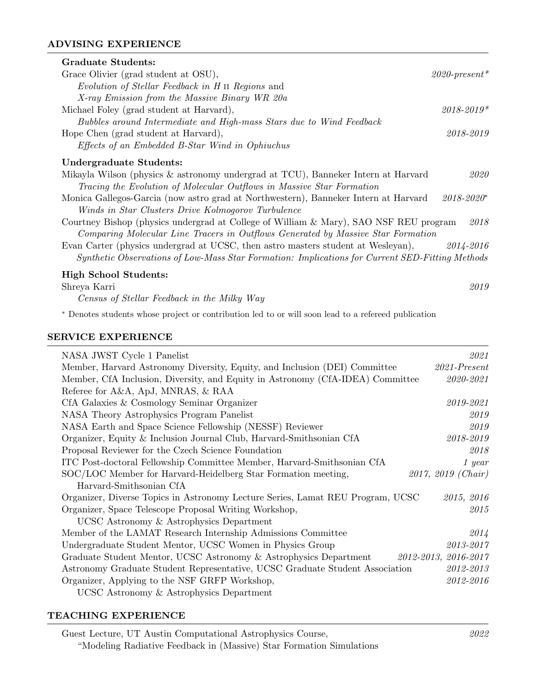## ADVISING EXPERIENCE

| Graduate Students:                                                                              |                  |
|-------------------------------------------------------------------------------------------------|------------------|
| Grace Olivier (grad student at OSU),                                                            | $2020$ -present* |
| Evolution of Stellar Feedback in H II Regions and                                               |                  |
| X-ray Emission from the Massive Binary WR 20a                                                   |                  |
| Michael Foley (grad student at Harvard),                                                        | $2018 - 2019*$   |
| Bubbles around Intermediate and High-mass Stars due to Wind Feedback                            |                  |
| Hope Chen (grad student at Harvard),                                                            | 2018-2019        |
| Effects of an Embedded B-Star Wind in Ophiuchus                                                 |                  |
| Undergraduate Students:                                                                         |                  |
| Mikayla Wilson (physics $\&$ astronomy undergrad at TCU), Banneker Intern at Harvard            | 2020             |
| Tracing the Evolution of Molecular Outflows in Massive Star Formation                           |                  |
| Monica Gallegos-Garcia (now astro grad at Northwestern), Banneker Intern at Harvard             | $2018 - 2020^*$  |
| Winds in Star Clusters Drive Kolmogorov Turbulence                                              |                  |
| Courtney Bishop (physics undergrad at College of William & Mary), SAO NSF REU program           | 2018             |
| Comparing Molecular Line Tracers in Outflows Generated by Massive Star Formation                |                  |
| Evan Carter (physics undergrad at UCSC, then astro masters student at Wesleyan),                | 2014-2016        |
| Synthetic Observations of Low-Mass Star Formation: Implications for Current SED-Fitting Methods |                  |
| <b>High School Students:</b>                                                                    |                  |
| Shreya Karri                                                                                    | 2019             |
| Census of Stellar Feedback in the Milky Way                                                     |                  |

<sup>∗</sup> Denotes students whose project or contribution led to or will soon lead to a refereed publication

#### SERVICE EXPERIENCE

| NASA JWST Cycle 1 Panelist                                                     | 2021                 |
|--------------------------------------------------------------------------------|----------------------|
| Member, Harvard Astronomy Diversity, Equity, and Inclusion (DEI) Committee     | $2021$ -Present      |
| Member, CfA Inclusion, Diversity, and Equity in Astronomy (CfA-IDEA) Committee | 2020-2021            |
| Referee for A&A, ApJ, MNRAS, & RAA                                             |                      |
| CfA Galaxies & Cosmology Seminar Organizer                                     | 2019-2021            |
| NASA Theory Astrophysics Program Panelist                                      | 2019                 |
| NASA Earth and Space Science Fellowship (NESSF) Reviewer                       | 2019                 |
| Organizer, Equity & Inclusion Journal Club, Harvard-Smithsonian CfA            | $2018 - 2019$        |
| Proposal Reviewer for the Czech Science Foundation                             | 2018                 |
| ITC Post-doctoral Fellowship Committee Member, Harvard-Smithsonian CfA         | 1 year               |
| SOC/LOC Member for Harvard-Heidelberg Star Formation meeting,                  | 2017, 2019 (Chair)   |
| Harvard-Smithsonian CfA                                                        |                      |
| Organizer, Diverse Topics in Astronomy Lecture Series, Lamat REU Program, UCSC | 2015, 2016           |
| Organizer, Space Telescope Proposal Writing Workshop,                          | 2015                 |
| UCSC Astronomy & Astrophysics Department                                       |                      |
| Member of the LAMAT Research Internship Admissions Committee                   | 2014                 |
| Undergraduate Student Mentor, UCSC Women in Physics Group                      | $2013 - 2017$        |
| Graduate Student Mentor, UCSC Astronomy & Astrophysics Department              | 2012-2013, 2016-2017 |
| Astronomy Graduate Student Representative, UCSC Graduate Student Association   | 2012-2013            |
| Organizer, Applying to the NSF GRFP Workshop,                                  | 2012-2016            |
| UCSC Astronomy & Astrophysics Department                                       |                      |

#### TEACHING EXPERIENCE

Guest Lecture, UT Austin Computational Astrophysics Course, 2022 "Modeling Radiative Feedback in (Massive) Star Formation Simulations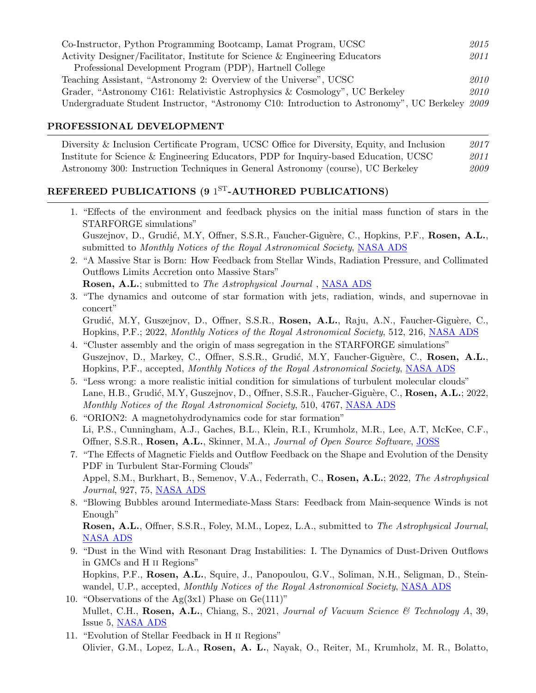| Co-Instructor, Python Programming Bootcamp, Lamat Program, UCSC                                | 2015 |
|------------------------------------------------------------------------------------------------|------|
| Activity Designer/Facilitator, Institute for Science & Engineering Educators                   | 2011 |
| Professional Development Program (PDP), Hartnell College                                       |      |
| Teaching Assistant, "Astronomy 2: Overview of the Universe", UCSC                              | 2010 |
| Grader, "Astronomy C161: Relativistic Astrophysics & Cosmology", UC Berkeley                   | 2010 |
| Undergraduate Student Instructor, "Astronomy C10: Introduction to Astronomy", UC Berkeley 2009 |      |

#### PROFESSIONAL DEVELOPMENT

Diversity & Inclusion Certificate Program, UCSC Office for Diversity, Equity, and Inclusion 2017 Institute for Science & Engineering Educators, PDP for Inquiry-based Education, UCSC 2011 Astronomy 300: Instruction Techniques in General Astronomy (course), UC Berkeley 2009

## REFEREED PUBLICATIONS (9  $1^\mathrm{ST}\text{-}\mathrm{AUTHORED}$  PUBLICATIONS)

| 1. "Effects of the environment and feedback physics on the initial mass function of stars in the                                                 |
|--------------------------------------------------------------------------------------------------------------------------------------------------|
| STARFORGE simulations"                                                                                                                           |
| Guszejnov, D., Grudić, M.Y, Offner, S.S.R., Faucher-Giguère, C., Hopkins, P.F., Rosen, A.L.,                                                     |
| submitted to Monthly Notices of the Royal Astronomical Society, NASA ADS                                                                         |
| 2. "A Massive Star is Born: How Feedback from Stellar Winds, Radiation Pressure, and Collimated<br>Outflows Limits Accretion onto Massive Stars" |
| <b>Rosen, A.L.</b> ; submitted to <i>The Astrophysical Journal</i> , <b>NASA ADS</b>                                                             |
| 3. "The dynamics and outcome of star formation with jets, radiation, winds, and supernovae in<br>concert"                                        |
| Grudić, M.Y, Guszejnov, D., Offner, S.S.R., Rosen, A.L., Raju, A.N., Faucher-Giguère, C.,                                                        |
| Hopkins, P.F.; 2022, Monthly Notices of the Royal Astronomical Society, 512, 216, NASA ADS                                                       |
| 4. "Cluster assembly and the origin of mass segregation in the STARFORGE simulations"                                                            |
| Guszejnov, D., Markey, C., Offner, S.S.R., Grudić, M.Y, Faucher-Giguère, C., Rosen, A.L.,                                                        |
| Hopkins, P.F., accepted, Monthly Notices of the Royal Astronomical Society, NASA ADS                                                             |
| 5. "Less wrong: a more realistic initial condition for simulations of turbulent molecular clouds"                                                |
| Lane, H.B., Grudić, M.Y., Guszejnov, D., Offner, S.S.R., Faucher-Giguère, C., Rosen, A.L.; 2022,                                                 |
| Monthly Notices of the Royal Astronomical Society, 510, 4767, NASA ADS                                                                           |
| 6. "ORION2: A magnetohydrodynamics code for star formation"                                                                                      |
| Li, P.S., Cunningham, A.J., Gaches, B.L., Klein, R.I., Krumholz, M.R., Lee, A.T, McKee, C.F.,                                                    |
| Offner, S.S.R., Rosen, A.L., Skinner, M.A., Journal of Open Source Software, JOSS                                                                |
| 7. "The Effects of Magnetic Fields and Outflow Feedback on the Shape and Evolution of the Density                                                |
| PDF in Turbulent Star-Forming Clouds"                                                                                                            |
| Appel, S.M., Burkhart, B., Semenov, V.A., Federrath, C., Rosen, A.L.; 2022, The Astrophysical                                                    |
| <i>Journal</i> , 927, 75, NASA ADS                                                                                                               |
| 8. "Blowing Bubbles around Intermediate-Mass Stars: Feedback from Main-sequence Winds is not                                                     |
| Enough"                                                                                                                                          |

Rosen, A.L., Offner, S.S.R., Foley, M.M., Lopez, L.A., submitted to The Astrophysical Journal, [NASA ADS](https://ui.adsabs.harvard.edu/abs/2021arXiv210712397R/abstract)

- 9. "Dust in the Wind with Resonant Drag Instabilities: I. The Dynamics of Dust-Driven Outflows in GMCs and H ii Regions" Hopkins, P.F., Rosen, A.L., Squire, J., Panopoulou, G.V., Soliman, N.H., Seligman, D., Stein-wandel, U.P., accepted, Monthly Notices of the Royal Astronomical Society, [NASA ADS](https://ui.adsabs.harvard.edu/abs/2021arXiv210704608H/abstract)
- 10. "Observations of the  $Ag(3x1)$  Phase on  $Ge(111)$ " Mullet, C.H., Rosen, A.L., Chiang, S., 2021, Journal of Vacuum Science & Technology A, 39, Issue 5, [NASA ADS](https://ui.adsabs.harvard.edu/abs/2021JVSTA..39e3207M/abstract)
- 11. "Evolution of Stellar Feedback in H ii Regions" Olivier, G.M., Lopez, L.A., Rosen, A. L., Nayak, O., Reiter, M., Krumholz, M. R., Bolatto,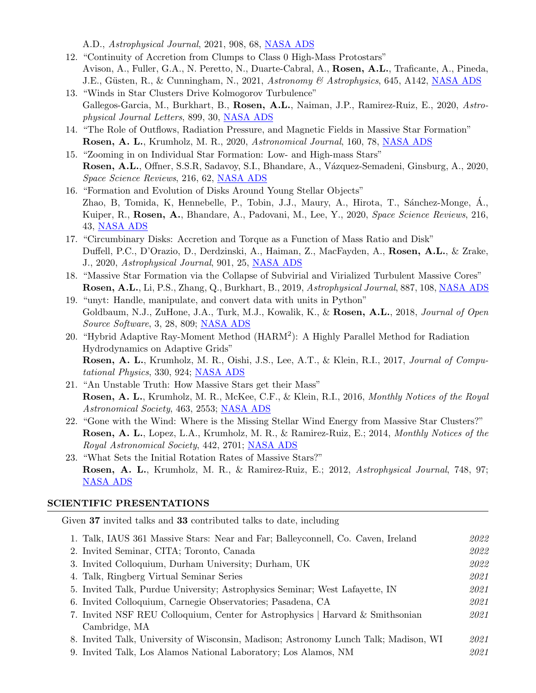A.D., Astrophysical Journal, 2021, 908, 68, [NASA ADS](https://ui.adsabs.harvard.edu/abs/2020arXiv200910079O/abstract)

- 12. "Continuity of Accretion from Clumps to Class 0 High-Mass Protostars" Avison, A., Fuller, G.A., N. Peretto, N., Duarte-Cabral, A., Rosen, A.L., Traficante, A., Pineda, J.E., Güsten, R., & Cunningham, N., 2021, Astronomy & Astrophysics, 645, A142, [NASA ADS](https://ui.adsabs.harvard.edu/abs/2020arXiv201208948A/abstract)
- 13. "Winds in Star Clusters Drive Kolmogorov Turbulence" Gallegos-Garcia, M., Burkhart, B., Rosen, A.L., Naiman, J.P., Ramirez-Ruiz, E., 2020, Astrophysical Journal Letters, 899, 30, [NASA ADS](https://ui.adsabs.harvard.edu/abs/2020ApJ...899L..30G/abstract)
- 14. "The Role of Outflows, Radiation Pressure, and Magnetic Fields in Massive Star Formation" Rosen, A. L., Krumholz, M. R., 2020, Astronomical Journal, 160, 78, [NASA ADS](https://ui.adsabs.harvard.edu/abs/2020AJ....160...78R/abstract)
- 15. "Zooming in on Individual Star Formation: Low- and High-mass Stars" Rosen, A.L., Offner, S.S.R., Sadavoy, S.I., Bhandare, A., Vázquez-Semadeni, Ginsburg, A., 2020, Space Science Reviews, 216, 62, [NASA ADS](https://ui.adsabs.harvard.edu/abs/2020SSRv..216...62R/abstract)
- 16. "Formation and Evolution of Disks Around Young Stellar Objects" Zhao, B, Tomida, K, Hennebelle, P., Tobin, J.J., Maury, A., Hirota, T., Sánchez-Monge, Á., Kuiper, R., Rosen, A., Bhandare, A., Padovani, M., Lee, Y., 2020, Space Science Reviews, 216, 43, [NASA ADS](https://ui.adsabs.harvard.edu/abs/2020SSRv..216...43Z/abstract)
- 17. "Circumbinary Disks: Accretion and Torque as a Function of Mass Ratio and Disk" Duffell, P.C., D'Orazio, D., Derdzinski, A., Haiman, Z., MacFayden, A., Rosen, A.L., & Zrake, J., 2020, Astrophysical Journal, 901, 25, [NASA ADS](https://ui.adsabs.harvard.edu/abs/2019arXiv191105506D/abstract)
- 18. "Massive Star Formation via the Collapse of Subvirial and Virialized Turbulent Massive Cores" Rosen, A.L., Li, P.S., Zhang, Q., Burkhart, B., 2019, Astrophysical Journal, 887, 108, [NASA ADS](https://ui.adsabs.harvard.edu/abs/2019ApJ...887..108R/abstract)
- 19. "unyt: Handle, manipulate, and convert data with units in Python" Goldbaum, N.J., ZuHone, J.A., Turk, M.J., Kowalik, K., & Rosen, A.L., 2018, Journal of Open Source Software, 3, 28, 809; [NASA ADS](http://adsabs.harvard.edu/abs/2018arXiv180602417G)
- 20. "Hybrid Adaptive Ray-Moment Method (HARM<sup>2</sup>): A Highly Parallel Method for Radiation Hydrodynamics on Adaptive Grids" Rosen, A. L., Krumholz, M. R., Oishi, J.S., Lee, A.T., & Klein, R.I., 2017, *Journal of Compu-*tational Physics, 330, 924; [NASA ADS](http://adsabs.harvard.edu/abs/2017JCoPh.330..924R)
- 21. "An Unstable Truth: How Massive Stars get their Mass" Rosen, A. L., Krumholz, M. R., McKee, C.F., & Klein, R.I., 2016, Monthly Notices of the Royal Astronomical Society, 463, 2553; [NASA ADS](http://adsabs.harvard.edu/abs/2016MNRAS.463.2553R)
- 22. "Gone with the Wind: Where is the Missing Stellar Wind Energy from Massive Star Clusters?" Rosen, A. L., Lopez, L.A., Krumholz, M. R., & Ramirez-Ruiz, E.; 2014, Monthly Notices of the Royal Astronomical Society, 442, 2701; [NASA ADS](http://adsabs.harvard.edu/abs/2014MNRAS.442.2701R)
- 23. "What Sets the Initial Rotation Rates of Massive Stars?" Rosen, A. L., Krumholz, M. R., & Ramirez-Ruiz, E.; 2012, Astrophysical Journal, 748, 97; [NASA ADS](http://adsabs.harvard.edu/abs/2012ApJ...748...97R)

#### SCIENTIFIC PRESENTATIONS

Given 37 invited talks and 33 contributed talks to date, including

| 1. Talk, IAUS 361 Massive Stars: Near and Far; Balleyconnell, Co. Caven, Ireland     | 2022 |
|--------------------------------------------------------------------------------------|------|
| 2. Invited Seminar, CITA; Toronto, Canada                                            | 2022 |
| 3. Invited Colloquium, Durham University; Durham, UK                                 | 2022 |
| 4. Talk, Ringberg Virtual Seminar Series                                             | 2021 |
| 5. Invited Talk, Purdue University; Astrophysics Seminar; West Lafayette, IN         | 2021 |
| 6. Invited Colloquium, Carnegie Observatories; Pasadena, CA                          | 2021 |
| 7. Invited NSF REU Colloquium, Center for Astrophysics   Harvard & Smithsonian       | 2021 |
| Cambridge, MA                                                                        |      |
| 8. Invited Talk, University of Wisconsin, Madison; Astronomy Lunch Talk; Madison, WI | 2021 |
| 9. Invited Talk, Los Alamos National Laboratory; Los Alamos, NM                      | 2021 |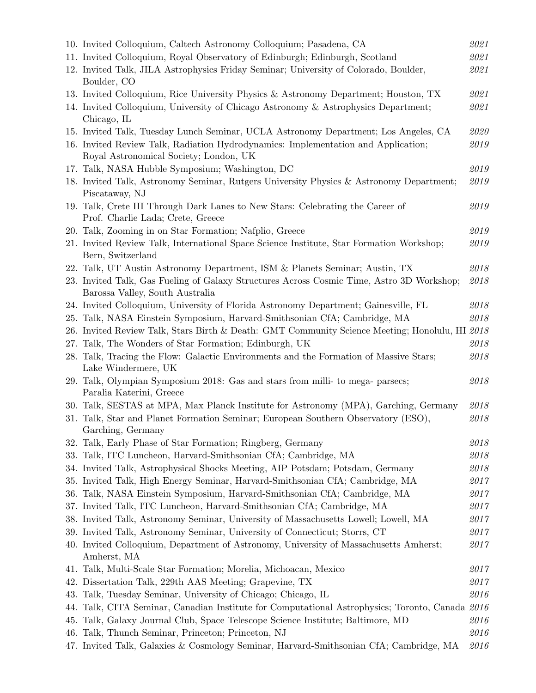|     | 10. Invited Colloquium, Caltech Astronomy Colloquium; Pasadena, CA                                                           | 2021       |
|-----|------------------------------------------------------------------------------------------------------------------------------|------------|
|     | 11. Invited Colloquium, Royal Observatory of Edinburgh; Edinburgh, Scotland                                                  | 2021       |
|     | 12. Invited Talk, JILA Astrophysics Friday Seminar; University of Colorado, Boulder,<br>Boulder, CO                          | 2021       |
|     | 13. Invited Colloquium, Rice University Physics & Astronomy Department; Houston, TX                                          | 2021       |
|     | 14. Invited Colloquium, University of Chicago Astronomy & Astrophysics Department;<br>Chicago, IL                            | 2021       |
|     | 15. Invited Talk, Tuesday Lunch Seminar, UCLA Astronomy Department; Los Angeles, CA                                          | $\it 2020$ |
|     | 16. Invited Review Talk, Radiation Hydrodynamics: Implementation and Application;<br>Royal Astronomical Society; London, UK  | 2019       |
|     | 17. Talk, NASA Hubble Symposium; Washington, DC                                                                              | 2019       |
|     | 18. Invited Talk, Astronomy Seminar, Rutgers University Physics & Astronomy Department;<br>Piscataway, NJ                    | 2019       |
|     | 19. Talk, Crete III Through Dark Lanes to New Stars: Celebrating the Career of<br>Prof. Charlie Lada; Crete, Greece          | 2019       |
|     | 20. Talk, Zooming in on Star Formation; Nafplio, Greece                                                                      | 2019       |
|     | 21. Invited Review Talk, International Space Science Institute, Star Formation Workshop;<br>Bern, Switzerland                | 2019       |
|     | 22. Talk, UT Austin Astronomy Department, ISM & Planets Seminar; Austin, TX                                                  | $\it 2018$ |
|     | 23. Invited Talk, Gas Fueling of Galaxy Structures Across Cosmic Time, Astro 3D Workshop;<br>Barossa Valley, South Australia | 2018       |
|     | 24. Invited Colloquium, University of Florida Astronomy Department; Gainesville, FL                                          | 2018       |
| 25. | Talk, NASA Einstein Symposium, Harvard-Smithsonian CfA; Cambridge, MA                                                        | 2018       |
|     | 26. Invited Review Talk, Stars Birth & Death: GMT Community Science Meeting; Honolulu, HI 2018                               |            |
| 27. | Talk, The Wonders of Star Formation; Edinburgh, UK                                                                           | 2018       |
|     | 28. Talk, Tracing the Flow: Galactic Environments and the Formation of Massive Stars;<br>Lake Windermere, UK                 | 2018       |
|     | 29. Talk, Olympian Symposium 2018: Gas and stars from milli- to mega- parsecs;<br>Paralia Katerini, Greece                   | 2018       |
|     | 30. Talk, SESTAS at MPA, Max Planck Institute for Astronomy (MPA), Garching, Germany                                         | 2018       |
|     | 31. Talk, Star and Planet Formation Seminar; European Southern Observatory (ESO),<br>Garching, Germany                       | 2018       |
|     | 32. Talk, Early Phase of Star Formation; Ringberg, Germany                                                                   | 2018       |
|     | 33. Talk, ITC Luncheon, Harvard-Smithsonian CfA; Cambridge, MA                                                               | 2018       |
|     | 34. Invited Talk, Astrophysical Shocks Meeting, AIP Potsdam; Potsdam, Germany                                                | 2018       |
|     | 35. Invited Talk, High Energy Seminar, Harvard-Smithsonian CfA; Cambridge, MA                                                | 2017       |
|     | 36. Talk, NASA Einstein Symposium, Harvard-Smithsonian CfA; Cambridge, MA                                                    | 2017       |
|     | 37. Invited Talk, ITC Luncheon, Harvard-Smithsonian CfA; Cambridge, MA                                                       | 2017       |
|     | 38. Invited Talk, Astronomy Seminar, University of Massachusetts Lowell; Lowell, MA                                          | 2017       |
|     | 39. Invited Talk, Astronomy Seminar, University of Connecticut; Storrs, CT                                                   | 2017       |
|     | 40. Invited Colloquium, Department of Astronomy, University of Massachusetts Amherst;<br>Amherst, MA                         | 2017       |
|     | 41. Talk, Multi-Scale Star Formation; Morelia, Michoacan, Mexico                                                             | 2017       |
|     | 42. Dissertation Talk, 229th AAS Meeting; Grapevine, TX                                                                      | 2017       |
|     | 43. Talk, Tuesday Seminar, University of Chicago; Chicago, IL                                                                | 2016       |
| 44. | Talk, CITA Seminar, Canadian Institute for Computational Astrophysics; Toronto, Canada 2016                                  |            |
|     | 45. Talk, Galaxy Journal Club, Space Telescope Science Institute; Baltimore, MD                                              | 2016       |
|     | 46. Talk, Thunch Seminar, Princeton; Princeton, NJ                                                                           | 2016       |
|     | 47. Invited Talk, Galaxies & Cosmology Seminar, Harvard-Smithsonian CfA; Cambridge, MA                                       | 2016       |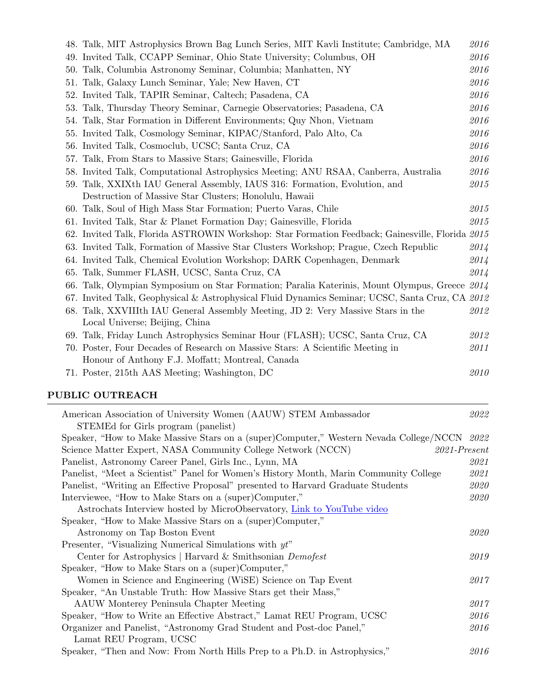|     | 48. Talk, MIT Astrophysics Brown Bag Lunch Series, MIT Kavli Institute; Cambridge, MA           | 2016 |
|-----|-------------------------------------------------------------------------------------------------|------|
|     | 49. Invited Talk, CCAPP Seminar, Ohio State University; Columbus, OH                            | 2016 |
|     | 50. Talk, Columbia Astronomy Seminar, Columbia; Manhatten, NY                                   | 2016 |
|     | 51. Talk, Galaxy Lunch Seminar, Yale; New Haven, CT                                             | 2016 |
|     | 52. Invited Talk, TAPIR Seminar, Caltech; Pasadena, CA                                          | 2016 |
|     | 53. Talk, Thursday Theory Seminar, Carnegie Observatories; Pasadena, CA                         | 2016 |
|     | 54. Talk, Star Formation in Different Environments; Quy Nhon, Vietnam                           | 2016 |
|     | 55. Invited Talk, Cosmology Seminar, KIPAC/Stanford, Palo Alto, Ca                              | 2016 |
|     | 56. Invited Talk, Cosmoclub, UCSC; Santa Cruz, CA                                               | 2016 |
| 57. | Talk, From Stars to Massive Stars; Gainesville, Florida                                         | 2016 |
|     | 58. Invited Talk, Computational Astrophysics Meeting; ANU RSAA, Canberra, Australia             | 2016 |
|     | 59. Talk, XXIXth IAU General Assembly, IAUS 316: Formation, Evolution, and                      | 2015 |
|     | Destruction of Massive Star Clusters; Honolulu, Hawaii                                          |      |
|     | 60. Talk, Soul of High Mass Star Formation; Puerto Varas, Chile                                 | 2015 |
|     | 61. Invited Talk, Star & Planet Formation Day; Gainesville, Florida                             | 2015 |
|     | 62. Invited Talk, Florida ASTROWIN Workshop: Star Formation Feedback; Gainesville, Florida 2015 |      |
|     | 63. Invited Talk, Formation of Massive Star Clusters Workshop; Prague, Czech Republic           | 2014 |
|     | 64. Invited Talk, Chemical Evolution Workshop; DARK Copenhagen, Denmark                         | 2014 |
|     | 65. Talk, Summer FLASH, UCSC, Santa Cruz, CA                                                    | 2014 |
|     | 66. Talk, Olympian Symposium on Star Formation; Paralia Katerinis, Mount Olympus, Greece 2014   |      |
|     | 67. Invited Talk, Geophysical & Astrophysical Fluid Dynamics Seminar; UCSC, Santa Cruz, CA 2012 |      |
|     | 68. Talk, XXVIIIth IAU General Assembly Meeting, JD 2: Very Massive Stars in the                | 2012 |
|     | Local Universe; Beijing, China                                                                  |      |
|     | 69. Talk, Friday Lunch Astrophysics Seminar Hour (FLASH); UCSC, Santa Cruz, CA                  | 2012 |
|     | 70. Poster, Four Decades of Research on Massive Stars: A Scientific Meeting in                  | 2011 |
|     | Honour of Anthony F.J. Moffatt; Montreal, Canada                                                |      |
|     | 71. Poster, 215th AAS Meeting; Washington, DC                                                   | 2010 |

# PUBLIC OUTREACH

| American Association of University Women (AAUW) STEM Ambassador                             | 2022            |
|---------------------------------------------------------------------------------------------|-----------------|
| STEMEd for Girls program (panelist)                                                         |                 |
| Speaker, "How to Make Massive Stars on a (super)Computer," Western Nevada College/NCCN 2022 |                 |
| Science Matter Expert, NASA Community College Network (NCCN)                                | $2021$ -Present |
| Panelist, Astronomy Career Panel, Girls Inc., Lynn, MA                                      | 2021            |
| Panelist, "Meet a Scientist" Panel for Women's History Month, Marin Community College       | 2021            |
| Panelist, "Writing an Effective Proposal" presented to Harvard Graduate Students            | 2020            |
| Interviewee, "How to Make Stars on a (super)Computer,"                                      | 2020            |
| Astrochats Interview hosted by MicroObservatory, Link to YouTube video                      |                 |
| Speaker, "How to Make Massive Stars on a (super)Computer,"                                  |                 |
| Astronomy on Tap Boston Event                                                               | 2020            |
| Presenter, "Visualizing Numerical Simulations with yt"                                      |                 |
| Center for Astrophysics   Harvard & Smithsonian Demofest                                    | 2019            |
| Speaker, "How to Make Stars on a (super)Computer,"                                          |                 |
| Women in Science and Engineering (WiSE) Science on Tap Event                                | 2017            |
| Speaker, "An Unstable Truth: How Massive Stars get their Mass,"                             |                 |
| AAUW Monterey Peninsula Chapter Meeting                                                     | 2017            |
| Speaker, "How to Write an Effective Abstract," Lamat REU Program, UCSC                      | 2016            |
| Organizer and Panelist, "Astronomy Grad Student and Post-doc Panel,"                        | 2016            |
| Lamat REU Program, UCSC                                                                     |                 |
| Speaker, "Then and Now: From North Hills Prep to a Ph.D. in Astrophysics,"                  | 2016            |